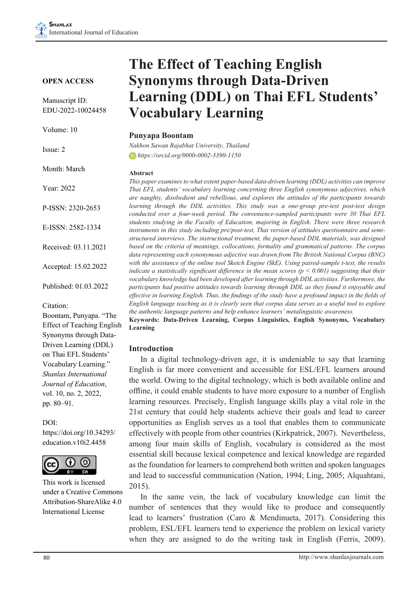#### **OPEN ACCESS**

Manuscript ID: EDU-2022-10024458

Volume: 10

Issue: 2

Month: March

Year: 2022

P-ISSN: 2320-2653

E-ISSN: 2582-1334

Received: 03.11.2021

Accepted: 15.02.2022

Published: 01.03.2022

Citation:

Boontam, Punyapa. "The Effect of Teaching English Synonyms through Data-Driven Learning (DDL) on Thai EFL Students' Vocabulary Learning." *Shanlax International Journal of Education*, vol. 10, no. 2, 2022, pp. 80–91.

DOI:

https://doi.org/10.34293/ education.v10i2.4458



This work is licensed under a Creative Commons Attribution-ShareAlike 4.0 International License

# **The Effect of Teaching English Synonyms through Data-Driven Learning (DDL) on Thai EFL Students' Vocabulary Learning**

#### **Punyapa Boontam**

*Nakhon Sawan Rajabhat University, Thailand https://orcid.org/0000-0002-3390-1150*

#### **Abstract**

*This paper examines to what extent paper-based data-driven learning (DDL) activities can improve Thai EFL students' vocabulary learning concerning three English synonymous adjectives, which are naughty, disobedient and rebellious, and explores the attitudes of the participants towards learning through the DDL activities. This study was a one-group pre-test post-test design conducted over a four-week period. The convenience-sampled participants were 30 Thai EFL students studying in the Faculty of Education, majoring in English. There were three research instruments in this study including pre/post-test, Thai version of attitudes questionnaire and semistructured interviews. The instructional treatment, the paper-based DDL materials, was designed based on the criteria of meanings, collocations, formality and grammatical patterns. The corpus data representing each synonymous adjective was drawn from The British National Corpus (BNC) with the assistance of the online tool Sketch Engine (SkE). Using paired-sample t-test, the results indicate a statistically significant difference in the mean scores (p < 0.001) suggesting that their vocabulary knowledge had been developed after learning through DDL activities. Furthermore, the participants had positive attitudes towards learning through DDL as they found it enjoyable and effective in learning English. Thus, the findings of the study have a profound impact in the fields of English language teaching as it is clearly seen that corpus data serves as a useful tool to explore the authentic language patterns and help enhance learners' metalinguistic awareness.*

**Keywords: Data-Driven Learning, Corpus Linguistics, English Synonyms, Vocabulary Learning**

#### **Introduction**

In a digital technology-driven age, it is undeniable to say that learning English is far more convenient and accessible for ESL/EFL learners around the world. Owing to the digital technology, which is both available online and offline, it could enable students to have more exposure to a number of English learning resources. Precisely, English language skills play a vital role in the 21st century that could help students achieve their goals and lead to career opportunities as English serves as a tool that enables them to communicate effectively with people from other countries (Kirkpatrick, 2007). Nevertheless, among four main skills of English, vocabulary is considered as the most essential skill because lexical competence and lexical knowledge are regarded as the foundation for learners to comprehend both written and spoken languages and lead to successful communication (Nation, 1994; Ling, 2005; Alquahtani, 2015).

In the same vein, the lack of vocabulary knowledge can limit the number of sentences that they would like to produce and consequently lead to learners' frustration (Caro & Mendinueta, 2017). Considering this problem, ESL/EFL learners tend to experience the problem on lexical variety when they are assigned to do the writing task in English (Ferris, 2009).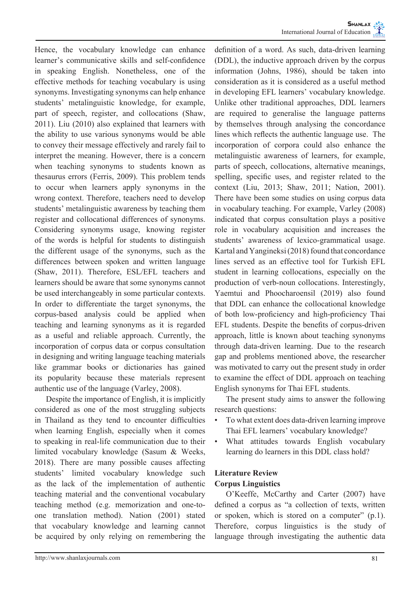Hence, the vocabulary knowledge can enhance learner's communicative skills and self-confidence in speaking English. Nonetheless, one of the effective methods for teaching vocabulary is using synonyms. Investigating synonyms can help enhance students' metalinguistic knowledge, for example, part of speech, register, and collocations (Shaw, 2011). Liu (2010) also explained that learners with the ability to use various synonyms would be able to convey their message effectively and rarely fail to interpret the meaning. However, there is a concern when teaching synonyms to students known as thesaurus errors (Ferris, 2009). This problem tends to occur when learners apply synonyms in the wrong context. Therefore, teachers need to develop students' metalinguistic awareness by teaching them register and collocational differences of synonyms. Considering synonyms usage, knowing register of the words is helpful for students to distinguish the different usage of the synonyms, such as the differences between spoken and written language (Shaw, 2011). Therefore, ESL/EFL teachers and learners should be aware that some synonyms cannot be used interchangeably in some particular contexts. In order to differentiate the target synonyms, the corpus-based analysis could be applied when teaching and learning synonyms as it is regarded as a useful and reliable approach. Currently, the incorporation of corpus data or corpus consultation in designing and writing language teaching materials like grammar books or dictionaries has gained its popularity because these materials represent authentic use of the language (Varley, 2008).

Despite the importance of English, it is implicitly considered as one of the most struggling subjects in Thailand as they tend to encounter difficulties when learning English, especially when it comes to speaking in real-life communication due to their limited vocabulary knowledge (Sasum & Weeks, 2018). There are many possible causes affecting students' limited vocabulary knowledge such as the lack of the implementation of authentic teaching material and the conventional vocabulary teaching method (e.g. memorization and one-toone translation method). Nation (2001) stated that vocabulary knowledge and learning cannot be acquired by only relying on remembering the

definition of a word. As such, data-driven learning (DDL), the inductive approach driven by the corpus information (Johns, 1986), should be taken into consideration as it is considered as a useful method in developing EFL learners' vocabulary knowledge. Unlike other traditional approaches, DDL learners are required to generalise the language patterns by themselves through analysing the concordance lines which reflects the authentic language use. The incorporation of corpora could also enhance the metalinguistic awareness of learners, for example, parts of speech, collocations, alternative meanings, spelling, specific uses, and register related to the context (Liu, 2013; Shaw, 2011; Nation, 2001). There have been some studies on using corpus data in vocabulary teaching. For example, Varley (2008) indicated that corpus consultation plays a positive role in vocabulary acquisition and increases the students' awareness of lexico-grammatical usage. Kartal and Yangineksi (2018) found that concordance lines served as an effective tool for Turkish EFL student in learning collocations, especially on the production of verb-noun collocations. Interestingly, Yaemtui and Phoocharoensil (2019) also found that DDL can enhance the collocational knowledge of both low-proficiency and high-proficiency Thai EFL students. Despite the benefits of corpus-driven approach, little is known about teaching synonyms through data-driven learning. Due to the research gap and problems mentioned above, the researcher was motivated to carry out the present study in order to examine the effect of DDL approach on teaching English synonyms for Thai EFL students.

The present study aims to answer the following research questions:

- To what extent does data-driven learning improve Thai EFL learners' vocabulary knowledge?
- What attitudes towards English vocabulary learning do learners in this DDL class hold?

## **Literature Review Corpus Linguistics**

O'Keeffe, McCarthy and Carter (2007) have defined a corpus as "a collection of texts, written or spoken, which is stored on a computer" (p.1). Therefore, corpus linguistics is the study of language through investigating the authentic data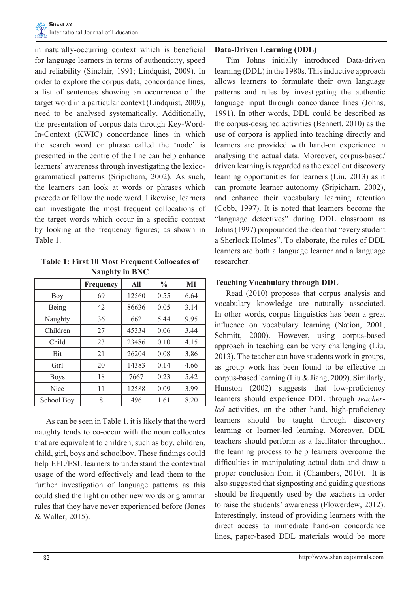in naturally-occurring context which is beneficial for language learners in terms of authenticity, speed and reliability (Sinclair, 1991; Lindquist, 2009). In order to explore the corpus data, concordance lines, a list of sentences showing an occurrence of the target word in a particular context (Lindquist, 2009), need to be analysed systematically. Additionally, the presentation of corpus data through Key-Word-In-Context (KWIC) concordance lines in which the search word or phrase called the 'node' is presented in the centre of the line can help enhance learners' awareness through investigating the lexicogrammatical patterns (Sripicharn, 2002). As such, the learners can look at words or phrases which precede or follow the node word. Likewise, learners can investigate the most frequent collocations of the target words which occur in a specific context by looking at the frequency figures; as shown in Table 1.

**Table 1: First 10 Most Frequent Collocates of Naughty in BNC**

|             | <b>Frequency</b> | All   | $\frac{0}{0}$ | MI   |
|-------------|------------------|-------|---------------|------|
| Boy         | 69               | 12560 | 0.55          | 6.64 |
| Being       | 42               | 86636 | 0.05          | 3.14 |
| Naughty     | 36               | 662   | 5.44          | 9.95 |
| Children    | 27               | 45334 | 0.06          | 3.44 |
| Child       | 23               | 23486 | 0.10          | 4.15 |
| <b>Bit</b>  | 21               | 26204 | 0.08          | 3.86 |
| Girl        | 20               | 14383 | 0.14          | 4.66 |
| <b>Boys</b> | 18               | 7667  | 0.23          | 5.42 |
| Nice        | 11               | 12588 | 0.09          | 3.99 |
| School Boy  | 8                | 496   | 1.61          | 8.20 |

As can be seen in Table 1, it is likely that the word naughty tends to co-occur with the noun collocates that are equivalent to children, such as boy, children, child, girl, boys and schoolboy. These findings could help EFL/ESL learners to understand the contextual usage of the word effectively and lead them to the further investigation of language patterns as this could shed the light on other new words or grammar rules that they have never experienced before (Jones & Waller, 2015).

#### **Data-Driven Learning (DDL)**

Tim Johns initially introduced Data-driven learning (DDL) in the 1980s. This inductive approach allows learners to formulate their own language patterns and rules by investigating the authentic language input through concordance lines (Johns, 1991). In other words, DDL could be described as the corpus-designed activities (Bennett, 2010) as the use of corpora is applied into teaching directly and learners are provided with hand-on experience in analysing the actual data. Moreover, corpus-based/ driven learning is regarded as the excellent discovery learning opportunities for learners (Liu, 2013) as it can promote learner autonomy (Sripicharn, 2002), and enhance their vocabulary learning retention (Cobb, 1997). It is noted that learners become the "language detectives" during DDL classroom as Johns (1997) propounded the idea that "every student a Sherlock Holmes". To elaborate, the roles of DDL learners are both a language learner and a language researcher.

#### **Teaching Vocabulary through DDL**

Read (2010) proposes that corpus analysis and vocabulary knowledge are naturally associated. In other words, corpus linguistics has been a great influence on vocabulary learning (Nation, 2001; Schmitt, 2000). However, using corpus-based approach in teaching can be very challenging (Liu, 2013). The teacher can have students work in groups, as group work has been found to be effective in corpus-based learning (Liu & Jiang, 2009). Similarly, Hunston (2002) suggests that low-proficiency learners should experience DDL through *teacherled* activities, on the other hand, high-proficiency learners should be taught through discovery learning or learner-led learning. Moreover, DDL teachers should perform as a facilitator throughout the learning process to help learners overcome the difficulties in manipulating actual data and draw a proper conclusion from it (Chambers, 2010). It is also suggested that signposting and guiding questions should be frequently used by the teachers in order to raise the students' awareness (Flowerdew, 2012). Interestingly, instead of providing learners with the direct access to immediate hand-on concordance lines, paper-based DDL materials would be more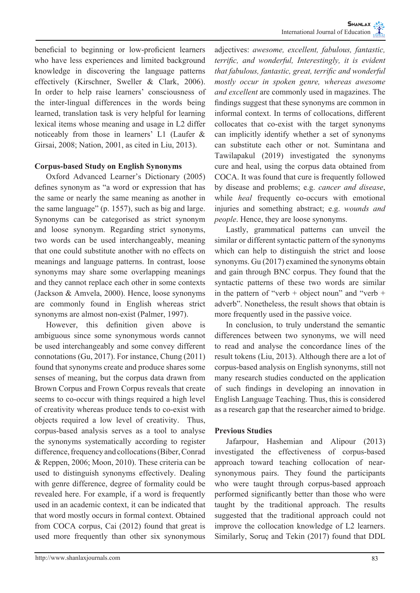beneficial to beginning or low-proficient learners who have less experiences and limited background knowledge in discovering the language patterns effectively (Kirschner, Sweller & Clark, 2006). In order to help raise learners' consciousness of the inter-lingual differences in the words being learned, translation task is very helpful for learning lexical items whose meaning and usage in L2 differ noticeably from those in learners' L1 (Laufer & Girsai, 2008; Nation, 2001, as cited in Liu, 2013).

#### **Corpus-based Study on English Synonyms**

Oxford Advanced Learner's Dictionary (2005) defines synonym as "a word or expression that has the same or nearly the same meaning as another in the same language" (p. 1557), such as big and large. Synonyms can be categorised as strict synonym and loose synonym. Regarding strict synonyms, two words can be used interchangeably, meaning that one could substitute another with no effects on meanings and language patterns. In contrast, loose synonyms may share some overlapping meanings and they cannot replace each other in some contexts (Jackson & Amvela, 2000). Hence, loose synonyms are commonly found in English whereas strict synonyms are almost non-exist (Palmer, 1997).

However, this definition given above is ambiguous since some synonymous words cannot be used interchangeably and some convey different connotations (Gu, 2017). For instance, Chung (2011) found that synonyms create and produce shares some senses of meaning, but the corpus data drawn from Brown Corpus and Frown Corpus reveals that create seems to co-occur with things required a high level of creativity whereas produce tends to co-exist with objects required a low level of creativity. Thus, corpus-based analysis serves as a tool to analyse the synonyms systematically according to register difference, frequency and collocations (Biber, Conrad & Reppen, 2006; Moon, 2010). These criteria can be used to distinguish synonyms effectively. Dealing with genre difference, degree of formality could be revealed here. For example, if a word is frequently used in an academic context, it can be indicated that that word mostly occurs in formal context. Obtained from COCA corpus, Cai (2012) found that great is used more frequently than other six synonymous

adjectives: *awesome, excellent, fabulous, fantastic, terrific, and wonderful, Interestingly, it is evident that fabulous, fantastic, great, terrific and wonderful mostly occur in spoken genre, whereas awesome and excellent* are commonly used in magazines. The findings suggest that these synonyms are common in informal context. In terms of collocations, different collocates that co-exist with the target synonyms can implicitly identify whether a set of synonyms can substitute each other or not. Sumintana and Tawilapakul (2019) investigated the synonyms cure and heal, using the corpus data obtained from COCA. It was found that cure is frequently followed by disease and problems; e.g. *cancer and disease*, while *heal* frequently co-occurs with emotional injuries and something abstract; e.g. *wounds and people*. Hence, they are loose synonyms.

Lastly, grammatical patterns can unveil the similar or different syntactic pattern of the synonyms which can help to distinguish the strict and loose synonyms. Gu (2017) examined the synonyms obtain and gain through BNC corpus. They found that the syntactic patterns of these two words are similar in the pattern of "verb  $+$  object noun" and "verb  $+$ adverb". Nonetheless, the result shows that obtain is more frequently used in the passive voice.

In conclusion, to truly understand the semantic differences between two synonyms, we will need to read and analyse the concordance lines of the result tokens (Liu, 2013). Although there are a lot of corpus-based analysis on English synonyms, still not many research studies conducted on the application of such findings in developing an innovation in English Language Teaching. Thus, this is considered as a research gap that the researcher aimed to bridge.

#### **Previous Studies**

Jafarpour, Hashemian and Alipour (2013) investigated the effectiveness of corpus-based approach toward teaching collocation of nearsynonymous pairs. They found the participants who were taught through corpus-based approach performed significantly better than those who were taught by the traditional approach. The results suggested that the traditional approach could not improve the collocation knowledge of L2 learners. Similarly, Soruç and Tekin (2017) found that DDL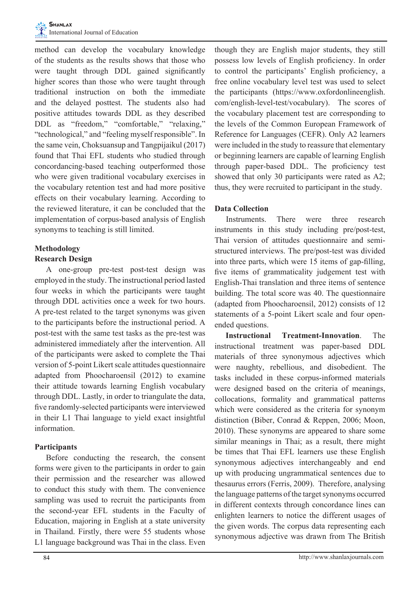

method can develop the vocabulary knowledge of the students as the results shows that those who were taught through DDL gained significantly higher scores than those who were taught through traditional instruction on both the immediate and the delayed posttest. The students also had positive attitudes towards DDL as they described DDL as "freedom," "comfortable," "relaxing," "technological," and "feeling myself responsible". In the same vein, Choksuansup and Tangpijaikul (2017) found that Thai EFL students who studied through concordancing-based teaching outperformed those who were given traditional vocabulary exercises in the vocabulary retention test and had more positive effects on their vocabulary learning. According to the reviewed literature, it can be concluded that the implementation of corpus-based analysis of English synonyms to teaching is still limited.

# **Methodology**

#### **Research Design**

A one-group pre-test post-test design was employed in the study. The instructional period lasted four weeks in which the participants were taught through DDL activities once a week for two hours. A pre-test related to the target synonyms was given to the participants before the instructional period. A post-test with the same test tasks as the pre-test was administered immediately after the intervention. All of the participants were asked to complete the Thai version of 5-point Likert scale attitudes questionnaire adapted from Phoocharoensil (2012) to examine their attitude towards learning English vocabulary through DDL. Lastly, in order to triangulate the data, five randomly-selected participants were interviewed in their L1 Thai language to yield exact insightful information.

## **Participants**

Before conducting the research, the consent forms were given to the participants in order to gain their permission and the researcher was allowed to conduct this study with them. The convenience sampling was used to recruit the participants from the second-year EFL students in the Faculty of Education, majoring in English at a state university in Thailand. Firstly, there were 55 students whose L1 language background was Thai in the class. Even

though they are English major students, they still possess low levels of English proficiency. In order to control the participants' English proficiency, a free online vocabulary level test was used to select the participants (https://www.oxfordonlineenglish. com/english-level-test/vocabulary). The scores of the vocabulary placement test are corresponding to the levels of the Common European Framework of Reference for Languages (CEFR). Only A2 learners were included in the study to reassure that elementary or beginning learners are capable of learning English through paper-based DDL. The proficiency test showed that only 30 participants were rated as A2; thus, they were recruited to participant in the study.

## **Data Collection**

Instruments. There were three research instruments in this study including pre/post-test, Thai version of attitudes questionnaire and semistructured interviews. The pre/post-test was divided into three parts, which were 15 items of gap-filling, five items of grammaticality judgement test with English-Thai translation and three items of sentence building. The total score was 40. The questionnaire (adapted from Phoocharoensil, 2012) consists of 12 statements of a 5-point Likert scale and four openended questions.

**Instructional Treatment-Innovation**. The instructional treatment was paper-based DDL materials of three synonymous adjectives which were naughty, rebellious, and disobedient. The tasks included in these corpus-informed materials were designed based on the criteria of meanings, collocations, formality and grammatical patterns which were considered as the criteria for synonym distinction (Biber, Conrad & Reppen, 2006; Moon, 2010). These synonyms are appeared to share some similar meanings in Thai; as a result, there might be times that Thai EFL learners use these English synonymous adjectives interchangeably and end up with producing ungrammatical sentences due to thesaurus errors (Ferris, 2009). Therefore, analysing the language patterns of the target synonyms occurred in different contexts through concordance lines can enlighten learners to notice the different usages of the given words. The corpus data representing each synonymous adjective was drawn from The British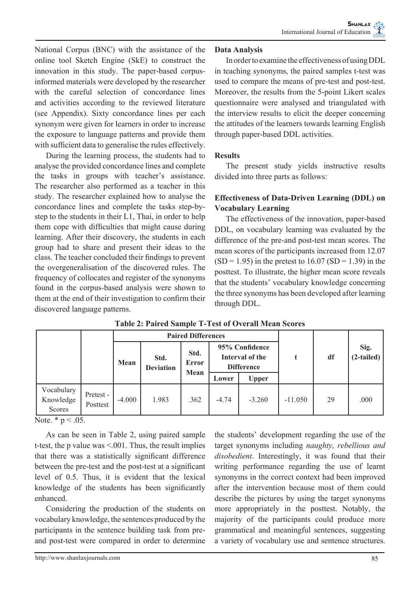National Corpus (BNC) with the assistance of the online tool Sketch Engine (SkE) to construct the innovation in this study. The paper-based corpusinformed materials were developed by the researcher with the careful selection of concordance lines and activities according to the reviewed literature (see Appendix). Sixty concordance lines per each synonym were given for learners in order to increase the exposure to language patterns and provide them with sufficient data to generalise the rules effectively.

During the learning process, the students had to analyse the provided concordance lines and complete the tasks in groups with teacher's assistance. The researcher also performed as a teacher in this study. The researcher explained how to analyse the concordance lines and complete the tasks step-bystep to the students in their L1, Thai, in order to help them cope with difficulties that might cause during learning. After their discovery, the students in each group had to share and present their ideas to the class. The teacher concluded their findings to prevent the overgeneralisation of the discovered rules. The frequency of collocates and register of the synonyms found in the corpus-based analysis were shown to them at the end of their investigation to confirm their discovered language patterns.

#### **Data Analysis**

In order to examine the effectiveness of using DDL in teaching synonyms, the paired samples t-test was used to compare the means of pre-test and post-test. Moreover, the results from the 5-point Likert scales questionnaire were analysed and triangulated with the interview results to elicit the deeper concerning the attitudes of the learners towards learning English through paper-based DDL activities.

#### **Results**

The present study yields instructive results divided into three parts as follows:

#### **Effectiveness of Data-Driven Learning (DDL) on Vocabulary Learning**

The effectiveness of the innovation, paper-based DDL, on vocabulary learning was evaluated by the difference of the pre-and post-test mean scores. The mean scores of the participants increased from 12.07  $(SD = 1.95)$  in the pretest to 16.07  $(SD = 1.39)$  in the posttest. To illustrate, the higher mean score reveals that the students' vocabulary knowledge concerning the three synonyms has been developed after learning through DDL.

|                                   |                       |          | <b>Paired Differences</b> |                       |         |                                                        |           |    |                      |
|-----------------------------------|-----------------------|----------|---------------------------|-----------------------|---------|--------------------------------------------------------|-----------|----|----------------------|
|                                   |                       | Mean     | Std.<br><b>Deviation</b>  | Std.<br>Error<br>Mean |         | 95% Confidence<br>Interval of the<br><b>Difference</b> |           | df | Sig.<br>$(2-tailed)$ |
|                                   |                       |          |                           |                       | Lower   | <b>Upper</b>                                           |           |    |                      |
| Vocabulary<br>Knowledge<br>Scores | Pretest -<br>Posttest | $-4.000$ | 1.983                     | .362                  | $-4.74$ | $-3.260$                                               | $-11.050$ | 29 | .000                 |

#### **Table 2: Paired Sample T-Test of Overall Mean Scores**

Note.  $* p < .05$ .

As can be seen in Table 2, using paired sample t-test, the p value was <.001. Thus, the result implies that there was a statistically significant difference between the pre-test and the post-test at a significant level of 0.5. Thus, it is evident that the lexical knowledge of the students has been significantly enhanced.

Considering the production of the students on vocabulary knowledge, the sentences produced by the participants in the sentence building task from preand post-test were compared in order to determine

the students' development regarding the use of the target synonyms including *naughty, rebellious and disobedient*. Interestingly, it was found that their writing performance regarding the use of learnt synonyms in the correct context had been improved after the intervention because most of them could describe the pictures by using the target synonyms more appropriately in the posttest. Notably, the majority of the participants could produce more grammatical and meaningful sentences, suggesting a variety of vocabulary use and sentence structures.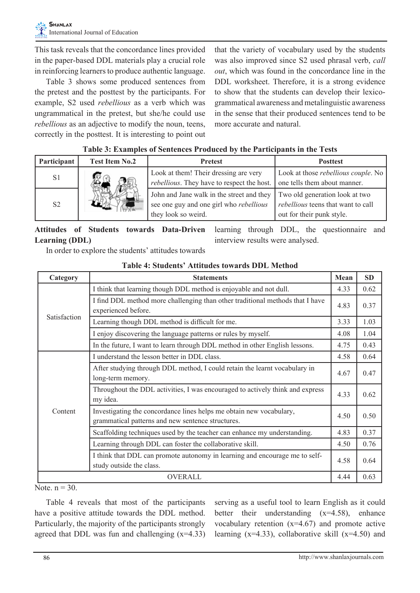This task reveals that the concordance lines provided in the paper-based DDL materials play a crucial role in reinforcing learners to produce authentic language.

Table 3 shows some produced sentences from the pretest and the posttest by the participants. For example, S2 used *rebellious* as a verb which was ungrammatical in the pretest, but she/he could use *rebellious* as an adjective to modify the noun, teens, correctly in the posttest. It is interesting to point out

that the variety of vocabulary used by the students was also improved since S2 used phrasal verb, *call out*, which was found in the concordance line in the DDL worksheet. Therefore, it is a strong evidence to show that the students can develop their lexicogrammatical awareness and metalinguistic awareness in the sense that their produced sentences tend to be more accurate and natural.

#### **Table 3: Examples of Sentences Produced by the Participants in the Tests**

| Participant    | <b>Test Item No.2</b> | <b>Pretest</b>                                                                                                     | <b>Posttest</b>                                                                                          |
|----------------|-----------------------|--------------------------------------------------------------------------------------------------------------------|----------------------------------------------------------------------------------------------------------|
| S <sub>1</sub> |                       | Look at them! Their dressing are very<br>rebellious. They have to respect the host.                                | Look at those <i>rebellious couple</i> . No<br>one tells them about manner.                              |
| S <sub>2</sub> |                       | John and Jane walk in the street and they<br>see one guy and one girl who <i>rebellious</i><br>they look so weird. | Two old generation look at two<br><i>rebellious</i> teens that want to call<br>out for their punk style. |

#### **Attitudes of Students towards Data-Driven Learning (DDL)**

learning through DDL, the questionnaire and interview results were analysed.

In order to explore the students' attitudes towards

| Category       | <b>Statements</b>                                                                                                        | Mean | <b>SD</b> |
|----------------|--------------------------------------------------------------------------------------------------------------------------|------|-----------|
| Satisfaction   | I think that learning though DDL method is enjoyable and not dull.                                                       | 4.33 | 0.62      |
|                | I find DDL method more challenging than other traditional methods that I have<br>experienced before.                     | 4.83 | 0.37      |
|                | Learning though DDL method is difficult for me.                                                                          | 3.33 | 1.03      |
|                | I enjoy discovering the language patterns or rules by myself.                                                            | 4.08 | 1.04      |
|                | In the future, I want to learn through DDL method in other English lessons.                                              | 4.75 | 0.43      |
| Content        | I understand the lesson better in DDL class.                                                                             | 4.58 | 0.64      |
|                | After studying through DDL method, I could retain the learnt vocabulary in<br>long-term memory.                          | 4.67 | 0.47      |
|                | Throughout the DDL activities, I was encouraged to actively think and express<br>my idea.                                | 4.33 | 0.62      |
|                | Investigating the concordance lines helps me obtain new vocabulary,<br>grammatical patterns and new sentence structures. | 4.50 | 0.50      |
|                | Scaffolding techniques used by the teacher can enhance my understanding.                                                 | 4.83 | 0.37      |
|                | Learning through DDL can foster the collaborative skill.                                                                 | 4.50 | 0.76      |
|                | I think that DDL can promote autonomy in learning and encourage me to self-<br>study outside the class.                  | 4.58 | 0.64      |
| <b>OVERALL</b> |                                                                                                                          |      |           |

**Table 4: Students' Attitudes towards DDL Method**

Note.  $n = 30$ .

Table 4 reveals that most of the participants have a positive attitude towards the DDL method. Particularly, the majority of the participants strongly agreed that DDL was fun and challenging  $(x=4.33)$  serving as a useful tool to learn English as it could better their understanding (x=4.58), enhance vocabulary retention  $(x=4.67)$  and promote active learning  $(x=4.33)$ , collaborative skill  $(x=4.50)$  and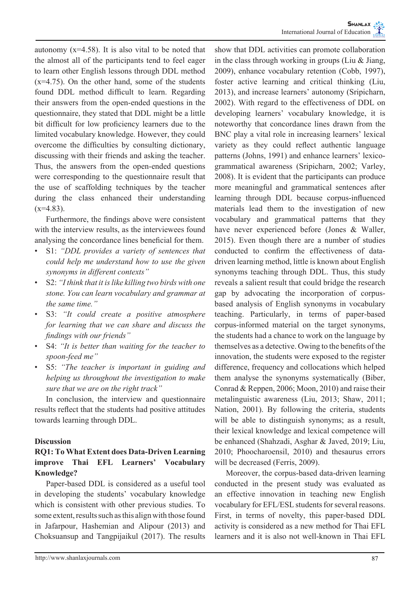autonomy  $(x=4.58)$ . It is also vital to be noted that the almost all of the participants tend to feel eager to learn other English lessons through DDL method  $(x=4.75)$ . On the other hand, some of the students found DDL method difficult to learn. Regarding their answers from the open-ended questions in the questionnaire, they stated that DDL might be a little bit difficult for low proficiency learners due to the limited vocabulary knowledge. However, they could overcome the difficulties by consulting dictionary, discussing with their friends and asking the teacher. Thus, the answers from the open-ended questions were corresponding to the questionnaire result that the use of scaffolding techniques by the teacher during the class enhanced their understanding  $(x=4.83)$ .

Furthermore, the findings above were consistent with the interview results, as the interviewees found analysing the concordance lines beneficial for them.

- S1: *"DDL provides a variety of sentences that could help me understand how to use the given synonyms in different contexts"*
- S2: *"I think that it is like killing two birds with one stone. You can learn vocabulary and grammar at the same time."*
- S3: *"It could create a positive atmosphere for learning that we can share and discuss the findings with our friends"*
- S4: *"It is better than waiting for the teacher to spoon-feed me"*
- S5: *"The teacher is important in guiding and helping us throughout the investigation to make sure that we are on the right track"*

In conclusion, the interview and questionnaire results reflect that the students had positive attitudes towards learning through DDL.

#### **Discussion**

## **RQ1: To What Extent does Data-Driven Learning improve Thai EFL Learners' Vocabulary Knowledge?**

Paper-based DDL is considered as a useful tool in developing the students' vocabulary knowledge which is consistent with other previous studies. To some extent, results such as this align with those found in Jafarpour, Hashemian and Alipour (2013) and Choksuansup and Tangpijaikul (2017). The results

show that DDL activities can promote collaboration in the class through working in groups (Liu & Jiang, 2009), enhance vocabulary retention (Cobb, 1997), foster active learning and critical thinking (Liu, 2013), and increase learners' autonomy (Sripicharn, 2002). With regard to the effectiveness of DDL on developing learners' vocabulary knowledge, it is noteworthy that concordance lines drawn from the BNC play a vital role in increasing learners' lexical variety as they could reflect authentic language patterns (Johns, 1991) and enhance learners' lexicogrammatical awareness (Sripicharn, 2002; Varley, 2008). It is evident that the participants can produce more meaningful and grammatical sentences after learning through DDL because corpus-influenced materials lead them to the investigation of new vocabulary and grammatical patterns that they have never experienced before (Jones & Waller, 2015). Even though there are a number of studies conducted to confirm the effectiveness of datadriven learning method, little is known about English synonyms teaching through DDL. Thus, this study reveals a salient result that could bridge the research gap by advocating the incorporation of corpusbased analysis of English synonyms in vocabulary teaching. Particularly, in terms of paper-based corpus-informed material on the target synonyms, the students had a chance to work on the language by themselves as a detective. Owing to the benefits of the innovation, the students were exposed to the register difference, frequency and collocations which helped them analyse the synonyms systematically (Biber, Conrad & Reppen, 2006; Moon, 2010) and raise their metalinguistic awareness (Liu, 2013; Shaw, 2011; Nation, 2001). By following the criteria, students will be able to distinguish synonyms; as a result, their lexical knowledge and lexical competence will be enhanced (Shahzadi, Asghar & Javed, 2019; Liu, 2010; Phoocharoensil, 2010) and thesaurus errors

Moreover, the corpus-based data-driven learning conducted in the present study was evaluated as an effective innovation in teaching new English vocabulary for EFL/ESL students for several reasons. First, in terms of novelty, this paper-based DDL activity is considered as a new method for Thai EFL learners and it is also not well-known in Thai EFL

will be decreased (Ferris, 2009).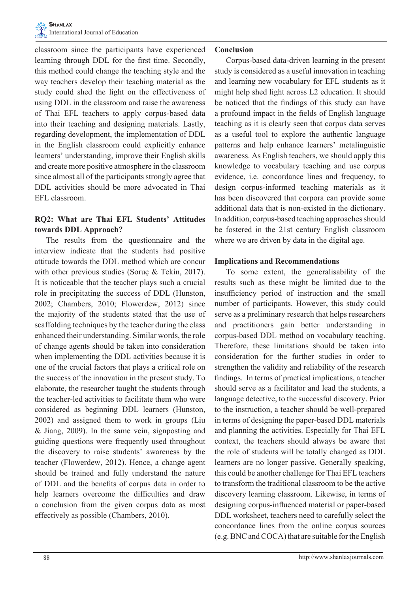classroom since the participants have experienced learning through DDL for the first time. Secondly, this method could change the teaching style and the way teachers develop their teaching material as the study could shed the light on the effectiveness of using DDL in the classroom and raise the awareness of Thai EFL teachers to apply corpus-based data into their teaching and designing materials. Lastly, regarding development, the implementation of DDL in the English classroom could explicitly enhance learners' understanding, improve their English skills and create more positive atmosphere in the classroom since almost all of the participants strongly agree that DDL activities should be more advocated in Thai EFL classroom.

#### **RQ2: What are Thai EFL Students' Attitudes towards DDL Approach?**

The results from the questionnaire and the interview indicate that the students had positive attitude towards the DDL method which are concur with other previous studies (Soruç & Tekin, 2017). It is noticeable that the teacher plays such a crucial role in precipitating the success of DDL (Hunston, 2002; Chambers, 2010; Flowerdew, 2012) since the majority of the students stated that the use of scaffolding techniques by the teacher during the class enhanced their understanding. Similar words, the role of change agents should be taken into consideration when implementing the DDL activities because it is one of the crucial factors that plays a critical role on the success of the innovation in the present study. To elaborate, the researcher taught the students through the teacher-led activities to facilitate them who were considered as beginning DDL learners (Hunston, 2002) and assigned them to work in groups (Liu & Jiang, 2009). In the same vein, signposting and guiding questions were frequently used throughout the discovery to raise students' awareness by the teacher (Flowerdew, 2012). Hence, a change agent should be trained and fully understand the nature of DDL and the benefits of corpus data in order to help learners overcome the difficulties and draw a conclusion from the given corpus data as most effectively as possible (Chambers, 2010).

#### **Conclusion**

Corpus-based data-driven learning in the present study is considered as a useful innovation in teaching and learning new vocabulary for EFL students as it might help shed light across L2 education. It should be noticed that the findings of this study can have a profound impact in the fields of English language teaching as it is clearly seen that corpus data serves as a useful tool to explore the authentic language patterns and help enhance learners' metalinguistic awareness. As English teachers, we should apply this knowledge to vocabulary teaching and use corpus evidence, i.e. concordance lines and frequency, to design corpus-informed teaching materials as it has been discovered that corpora can provide some additional data that is non-existed in the dictionary. In addition, corpus-based teaching approaches should be fostered in the 21st century English classroom where we are driven by data in the digital age.

#### **Implications and Recommendations**

To some extent, the generalisability of the results such as these might be limited due to the insufficiency period of instruction and the small number of participants. However, this study could serve as a preliminary research that helps researchers and practitioners gain better understanding in corpus-based DDL method on vocabulary teaching. Therefore, these limitations should be taken into consideration for the further studies in order to strengthen the validity and reliability of the research findings. In terms of practical implications, a teacher should serve as a facilitator and lead the students, a language detective, to the successful discovery. Prior to the instruction, a teacher should be well-prepared in terms of designing the paper-based DDL materials and planning the activities. Especially for Thai EFL context, the teachers should always be aware that the role of students will be totally changed as DDL learners are no longer passive. Generally speaking, this could be another challenge for Thai EFL teachers to transform the traditional classroom to be the active discovery learning classroom. Likewise, in terms of designing corpus-influenced material or paper-based DDL worksheet, teachers need to carefully select the concordance lines from the online corpus sources (e.g. BNC and COCA) that are suitable for the English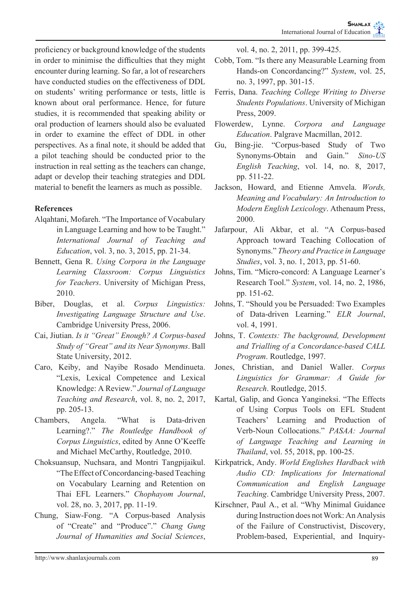proficiency or background knowledge of the students in order to minimise the difficulties that they might encounter during learning. So far, a lot of researchers have conducted studies on the effectiveness of DDL on students' writing performance or tests, little is known about oral performance. Hence, for future studies, it is recommended that speaking ability or oral production of learners should also be evaluated in order to examine the effect of DDL in other perspectives. As a final note, it should be added that a pilot teaching should be conducted prior to the instruction in real setting as the teachers can change, adapt or develop their teaching strategies and DDL material to benefit the learners as much as possible.

## **References**

- Alqahtani, Mofareh. "The Importance of Vocabulary in Language Learning and how to be Taught." *International Journal of Teaching and Education*, vol. 3, no. 3, 2015, pp. 21-34.
- Bennett, Gena R. *Using Corpora in the Language Learning Classroom: Corpus Linguistics for Teachers*. University of Michigan Press, 2010.
- Biber, Douglas, et al. *Corpus Linguistics: Investigating Language Structure and Use*. Cambridge University Press, 2006.
- Cai, Jiutian. *Is it "Great" Enough? A Corpus-based Study of "Great" and its Near Synonyms*. Ball State University, 2012.
- Caro, Keiby, and Nayibe Rosado Mendinueta. "Lexis, Lexical Competence and Lexical Knowledge: A Review." *Journal of Language Teaching and Research*, vol. 8, no. 2, 2017, pp. 205-13.
- Chambers, Angela. "What is Data-driven Learning?." *The Routledge Handbook of Corpus Linguistics*, edited by Anne O'Keeffe and Michael McCarthy, Routledge, 2010.
- Choksuansup, Nuchsara, and Montri Tangpijaikul. "The Effect of Concordancing-based Teaching on Vocabulary Learning and Retention on Thai EFL Learners." *Chophayom Journal*, vol. 28, no. 3, 2017, pp. 11-19.
- Chung, Siaw-Fong. "A Corpus-based Analysis of "Create" and "Produce"." *Chang Gung Journal of Humanities and Social Sciences*,

vol. 4, no. 2, 2011, pp. 399-425.

- Cobb, Tom. "Is there any Measurable Learning from Hands-on Concordancing?" *System*, vol. 25, no. 3, 1997, pp. 301-15.
- Ferris, Dana. *Teaching College Writing to Diverse Students Populations*. University of Michigan Press, 2009.
- Flowerdew, Lynne. *Corpora and Language Education*. Palgrave Macmillan, 2012.
- Gu, Bing-jie. "Corpus-based Study of Two Synonyms-Obtain and Gain." *Sino-US English Teaching*, vol. 14, no. 8, 2017, pp. 511-22.
- Jackson, Howard, and Etienne Amvela. *Words, Meaning and Vocabulary: An Introduction to Modern English Lexicology*. Athenaum Press, 2000.
- Jafarpour, Ali Akbar, et al. "A Corpus-based Approach toward Teaching Collocation of Synonyms." *Theory and Practice in Language Studies*, vol. 3, no. 1, 2013, pp. 51-60.
- Johns, Tim. "Micro-concord: A Language Learner's Research Tool." *System*, vol. 14, no. 2, 1986, pp. 151-62.
- Johns, T. "Should you be Persuaded: Two Examples of Data-driven Learning." *ELR Journal*, vol. 4, 1991.
- Johns, T. *Contexts: The background, Development and Trialling of a Concordance-based CALL Program*. Routledge, 1997.
- Jones, Christian, and Daniel Waller. *Corpus Linguistics for Grammar: A Guide for Research*. Routledge, 2015.
- Kartal, Galip, and Gonca Yangineksi. "The Effects of Using Corpus Tools on EFL Student Teachers' Learning and Production of Verb-Noun Collocations." *PASAA: Journal of Language Teaching and Learning in Thailand*, vol. 55, 2018, pp. 100-25.
- Kirkpatrick, Andy. *World Englishes Hardback with Audio CD: Implications for International Communication and English Language Teaching*. Cambridge University Press, 2007.
- Kirschner, Paul A., et al. "Why Minimal Guidance during Instruction does not Work: An Analysis of the Failure of Constructivist, Discovery, Problem-based, Experiential, and Inquiry-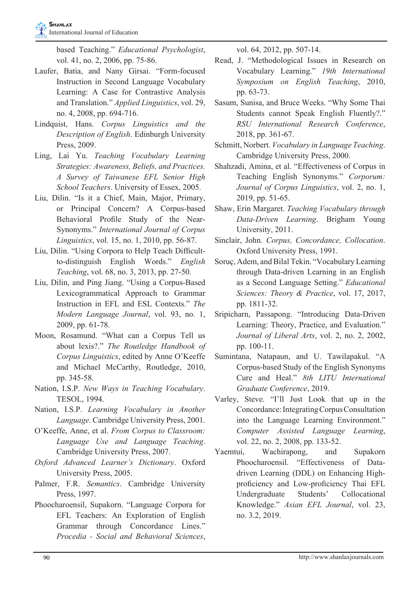based Teaching." *Educational Psychologist*, vol. 41, no. 2, 2006, pp. 75-86.

- Laufer, Batia, and Nany Girsai. "Form-focused Instruction in Second Language Vocabulary Learning: A Case for Contrastive Analysis and Translation." *Applied Linguistics*, vol. 29, no. 4, 2008, pp. 694-716.
- Lindquist, Hans. *Corpus Linguistics and the Description of English*. Edinburgh University Press, 2009.
- Ling, Lai Yu. *Teaching Vocabulary Learning Strategies: Awareness, Beliefs, and Practices. A Survey of Taiwanese EFL Senior High School Teachers*. University of Essex, 2005.
- Liu, Dilin. "Is it a Chief, Main, Major, Primary, or Principal Concern? A Corpus-based Behavioral Profile Study of the Near-Synonyms." *International Journal of Corpus Linguistics*, vol. 15, no. 1, 2010, pp. 56-87.
- Liu, Dilin. "Using Corpora to Help Teach Difficultto-distinguish English Words." *English Teaching*, vol. 68, no. 3, 2013, pp. 27-50.
- Liu, Dilin, and Ping Jiang. "Using a Corpus-Based Lexicogrammatical Approach to Grammar Instruction in EFL and ESL Contexts." *The Modern Language Journal*, vol. 93, no. 1, 2009, pp. 61-78.
- Moon, Rosamund. "What can a Corpus Tell us about lexis?." *The Routledge Handbook of Corpus Linguistics*, edited by Anne O'Keeffe and Michael McCarthy, Routledge, 2010, pp. 345-58.
- Nation, I.S.P. *New Ways in Teaching Vocabulary*. TESOL, 1994.
- Nation, I.S.P. *Learning Vocabulary in Another Language*. Cambridge University Press, 2001.
- O'Keeffe, Anne, et al. *From Corpus to Classroom: Language Use and Language Teaching*. Cambridge University Press, 2007.
- *Oxford Advanced Learner's Dictionary*. Oxford University Press, 2005.
- Palmer, F.R. *Semantics*. Cambridge University Press, 1997.
- Phoocharoensil, Supakorn. "Language Corpora for EFL Teachers: An Exploration of English Grammar through Concordance Lines." *Procedia - Social and Behavioral Sciences*,

vol. 64, 2012, pp. 507-14.

- Read, J. "Methodological Issues in Research on Vocabulary Learning." *19th International Symposium on English Teaching*, 2010, pp. 63-73.
- Sasum, Sunisa, and Bruce Weeks. "Why Some Thai Students cannot Speak English Fluently?." *RSU International Research Conference*, 2018, pp. 361-67.
- Schmitt, Norbert. *Vocabulary in Language Teaching*. Cambridge University Press, 2000.
- Shahzadi, Amina, et al. "Effectiveness of Corpus in Teaching English Synonyms." *Corporum: Journal of Corpus Linguistics*, vol. 2, no. 1, 2019, pp. 51-65.
- Shaw, Erin Margaret. *Teaching Vocabulary through Data-Driven Learning*. Brigham Young University, 2011.
- Sinclair, John. *Corpus, Concordance, Collocation*. Oxford University Press, 1991.
- Soruç, Adem, and Bilal Tekin. "Vocabulary Learning through Data-driven Learning in an English as a Second Language Setting." *Educational Sciences: Theory & Practice*, vol. 17, 2017, pp. 1811-32.
- Sripicharn, Passapong. "Introducing Data-Driven Learning: Theory, Practice, and Evaluation." *Journal of Liberal Arts*, vol. 2, no. 2, 2002, pp. 100-11.
- Sumintana, Natapaun, and U. Tawilapakul. "A Corpus-based Study of the English Synonyms Cure and Heal." *8th LITU International Graduate Conference*, 2019.
- Varley, Steve. "I'll Just Look that up in the Concordance: Integrating Corpus Consultation into the Language Learning Environment." *Computer Assisted Language Learning*, vol. 22, no. 2, 2008, pp. 133-52.
- Yaemtui, Wachirapong, and Supakorn Phoocharoensil. "Effectiveness of Datadriven Learning (DDL) on Enhancing Highproficiency and Low-proficiency Thai EFL Undergraduate Students' Collocational Knowledge." *Asian EFL Journal*, vol. 23, no. 3.2, 2019.